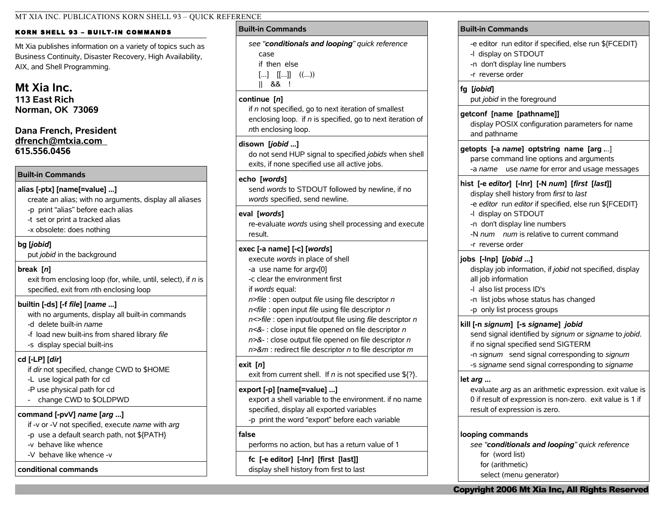### MT XIA INC. PUBLICATIONS KORN SHELL 93 – QUICK REFERENCE

## KORN SHELL 93 - BUILT-IN COMMANDS

Mt Xia publishes information on a variety of topics such as Business Continuity, Disaster Recovery, High Availability, AIX, and Shell Programming.

# **Mt Xia Inc.**

**113 East Rich Norman, OK 73069**

# **Dana French, President [dfrench@mtxia.com](mailto:dfrench@mtxia.com)  615.556.0456**

## **Built-in Commands**

## **alias [-ptx] [name[=value] ...]**

create an alias; with no arguments, display all aliases -p print "alias" before each alias

- -t set or print a tracked alias
- -x obsolete: does nothing

## **bg [***jobid***]**

put *jobid* in the background

## **break [***n***]**

exit from enclosing loop (for, while, until, select), if *n* is specified, exit from *n*th enclosing loop

# **builtin [-ds] [-f** *file***] [***name* **...]**

with no arguments, display all built-in commands

- -d delete built-in *name*
- -f load new built-ins from shared library *file*
- -s display special built-ins

# **cd [-LP] [***dir***]**

if *dir* not specified, change CWD to \$HOME

- -L use logical path for cd
- -P use physical path for cd
- change CWD to \$OLDPWD

# **command [-pvV]** *name* **[***arg* **...]**

- if -v or -V not specified, execute *name* with *arg*
- -p use a default search path, not \${PATH}
- -v behave like whence
- -V behave like whence -v

## **conditional commands**

## **Built-in Commands**

*see "conditionals and looping" quick reference* case if then else  $[...]$   $[[...]$   $((...)$ || && !

## **continue [***n***]**

if *n* not specified, go to next iteration of smallest enclosing loop. if *n* is specified, go to next iteration of *n*th enclosing loop.

## **disown [***jobid* **...]**

do not send HUP signal to specified *jobids* when shell exits, if none specified use all active jobs.

## **echo [***words***]**

send *words* to STDOUT followed by newline, if no *words* specified, send newline.

## **eval [***words***]**

re-evaluate *words* using shell processing and execute result.

# **exec [-a name] [-c] [***words***]**

execute *words* in place of shell -a use name for argv[0] -c clear the environment first if *words* equal: *n>file* : open output *file* using file descriptor *n n<file* : open input *file* using file descriptor *n n<>file* : open input/output file using *file* descriptor *n*

*n<&-* : close input file opened on file descriptor *n n>&-* : close output file opened on file descriptor *n*

*n>&m* : redirect file descriptor *n* to file descriptor *m*

# **exit [***n***]**

exit from current shell. If *n* is not specified use \${?}.

# **export [-p] [name[=value] ...]**

export a shell variable to the environment. if no name specified, display all exported variables -p print the word "export" before each variable

## **false**

performs no action, but has a return value of 1

**fc [-e editor] [-lnr] [first [last]]** display shell history from first to last

# **Built-in Commands** -e editor run editor if specified, else run \${FCEDIT} -l display on STDOUT -n don't display line numbers -r reverse order **fg [***jobid***]** put *jobid* in the foreground **getconf [name [pathname]]** display POSIX configuration parameters for name and pathname **getopts [-a** *name***] optstring name [arg .**..] parse command line options and arguments -a *name* use *name* for error and usage messages **hist [-e** *editor***] [-lnr] [-N** *num***] [***first* **[***last***]]** display shell history from *first* to *last* -e *editor* run *editor* if specified, else run \${FCEDIT} -l display on STDOUT -n don't display line numbers -N *num num* is relative to current command -r reverse order **jobs [-lnp] [***jobid* **...]** display job information, if *jobid* not specified, display all job information -l also list process ID's -n list jobs whose status has changed -p only list process groups **kill [-n** *signum***] [-s** *signame***]** *jobid* send signal identified by *signum* or *signame* to *jobid*. if no signal specified send SIGTERM -n *signum* send signal corresponding to *signum* -s *signame* send signal corresponding to *signame*

## **let** *arg* **...**

evaluate *arg* as an arithmetic expression. exit value is 0 if result of expression is non-zero. exit value is 1 if result of expression is zero.

### **looping commands**

*see "conditionals and looping" quick reference* for (word list) for (arithmetic) select (menu generator)